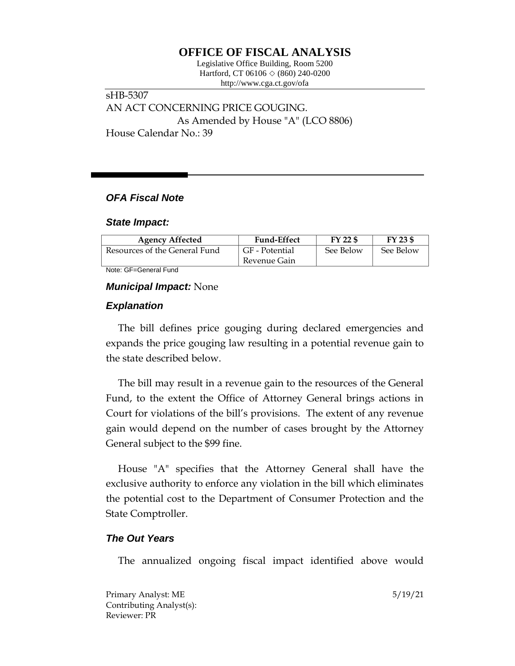# **OFFICE OF FISCAL ANALYSIS**

Legislative Office Building, Room 5200 Hartford, CT 06106 ◇ (860) 240-0200 http://www.cga.ct.gov/ofa

sHB-5307 AN ACT CONCERNING PRICE GOUGING. As Amended by House "A" (LCO 8806) House Calendar No.: 39

### *OFA Fiscal Note*

#### *State Impact:*

| <b>Agency Affected</b>        | <b>Fund-Effect</b> | FY 22 \$  | FY 23 \$  |
|-------------------------------|--------------------|-----------|-----------|
| Resources of the General Fund | GF - Potential     | See Below | See Below |
|                               | Revenue Gain       |           |           |

Note: GF=General Fund

## *Municipal Impact:* None

# *Explanation*

The bill defines price gouging during declared emergencies and expands the price gouging law resulting in a potential revenue gain to the state described below.

The bill may result in a revenue gain to the resources of the General Fund, to the extent the Office of Attorney General brings actions in Court for violations of the bill's provisions. The extent of any revenue gain would depend on the number of cases brought by the Attorney General subject to the \$99 fine.

House "A" specifies that the Attorney General shall have the exclusive authority to enforce any violation in the bill which eliminates the potential cost to the Department of Consumer Protection and the State Comptroller.

### *The Out Years*

The annualized ongoing fiscal impact identified above would

Primary Analyst: ME 5/19/21 Contributing Analyst(s): Reviewer: PR